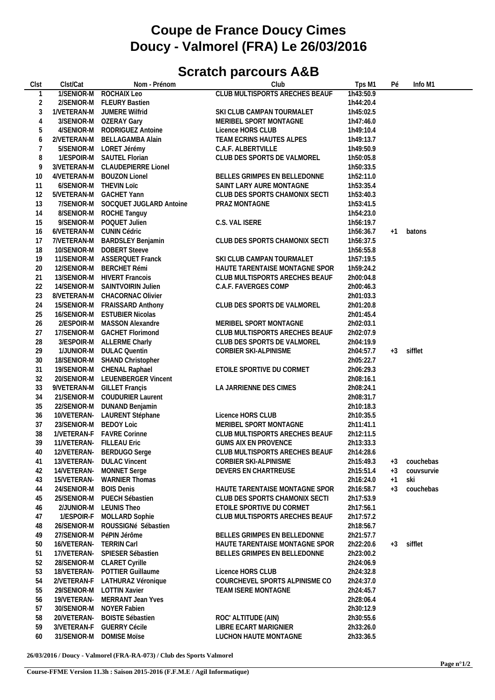## **Coupe de France Doucy Cimes Doucy - Valmorel (FRA) Le 26/03/2016**

## **Scratch parcours A&B**

| Clst | Clst/Cat                 | Nom - Prénom                   | Club                                  | Tps M1    | Pé   | Info M1    |  |
|------|--------------------------|--------------------------------|---------------------------------------|-----------|------|------------|--|
|      | 1/SENIOR-M               | ROCHAIX Leo                    | <b>CLUB MULTISPORTS ARECHES BEAUF</b> | 1h43:50.9 |      |            |  |
| 2    | 2/SENIOR-M               | <b>FLEURY Bastien</b>          |                                       | 1h44:20.4 |      |            |  |
| 3    | 1/VETERAN-M              | JUMERE Wilfrid                 | SKI CLUB CAMPAN TOURMALET             | 1h45:02.5 |      |            |  |
| 4    | 3/SENIOR-M               | OZERAY Gary                    | MERIBEL SPORT MONTAGNE                | 1h47:46.0 |      |            |  |
| 5    | 4/SENIOR-M               | RODRIGUEZ Antoine              | Licence HORS CLUB                     | 1h49:10.4 |      |            |  |
| 6    | 2/VETERAN-M              | <b>BELLAGAMBA Alain</b>        | TEAM ECRINS HAUTES ALPES              | 1h49:13.7 |      |            |  |
|      |                          |                                |                                       |           |      |            |  |
| 7    | 5/SENIOR-M               | LORET Jérémy                   | C.A.F. ALBERTVILLE                    | 1h49:50.9 |      |            |  |
| 8    |                          | 1/ESPOIR-M SAUTEL Florian      | CLUB DES SPORTS DE VALMOREL           | 1h50:05.8 |      |            |  |
| 9    | 3/VETERAN-M              | <b>CLAUDEPIERRE Lionel</b>     |                                       | 1h50:33.5 |      |            |  |
| 10   | 4/VETERAN-M              | <b>BOUZON Lionel</b>           | BELLES GRIMPES EN BELLEDONNE          | 1h52:11.0 |      |            |  |
| 11   | 6/SENIOR-M               | <b>THEVIN LOTC</b>             | SAINT LARY AURE MONTAGNE              | 1h53:35.4 |      |            |  |
| 12   | 5/VETERAN-M              | <b>GACHET Yann</b>             | CLUB DES SPORTS CHAMONIX SECTI        | 1h53:40.3 |      |            |  |
| 13   | 7/SENIOR-M               | SOCQUET JUGLARD Antoine        | PRAZ MONTAGNE                         | 1h53:41.5 |      |            |  |
| 14   | 8/SENIOR-M               | ROCHE Tanguy                   |                                       | 1h54:23.0 |      |            |  |
| 15   | 9/SENIOR-M               | POQUET Julien                  | C.S. VAL ISERE                        | 1h56:19.7 |      |            |  |
| 16   | 6/VETERAN-M              | <b>CUNIN Cédric</b>            |                                       | 1h56:36.7 | $+1$ | batons     |  |
| 17   | 7/VETERAN-M              | <b>BARDSLEY Benjamin</b>       | CLUB DES SPORTS CHAMONIX SECTI        | 1h56:37.5 |      |            |  |
| 18   |                          | <b>DOBERT Steeve</b>           |                                       |           |      |            |  |
|      | 10/SENIOR-M              |                                |                                       | 1h56:55.8 |      |            |  |
| 19   | 11/SENIOR-M              | <b>ASSERQUET Franck</b>        | SKI CLUB CAMPAN TOURMALET             | 1h57:19.5 |      |            |  |
| 20   | 12/SENIOR-M              | <b>BERCHET Rémi</b>            | HAUTE TARENTAISE MONTAGNE SPOR        | 1h59:24.2 |      |            |  |
| 21   | 13/SENIOR-M              | <b>HIVERT Francois</b>         | CLUB MULTISPORTS ARECHES BEAUF        | 2h00:04.8 |      |            |  |
| 22   | 14/SENIOR-M              | SAINTVOIRIN Julien             | C.A.F. FAVERGES COMP                  | 2h00:46.3 |      |            |  |
| 23   | 8/VETERAN-M              | <b>CHACORNAC Olivier</b>       |                                       | 2h01:03.3 |      |            |  |
| 24   | 15/SENIOR-M              | <b>FRAISSARD Anthony</b>       | CLUB DES SPORTS DE VALMOREL           | 2h01:20.8 |      |            |  |
| 25   | 16/SENIOR-M              | <b>ESTUBIER Nicolas</b>        |                                       | 2h01:45.4 |      |            |  |
| 26   |                          | 2/ESPOIR-M MASSON Alexandre    | MERIBEL SPORT MONTAGNE                | 2h02:03.1 |      |            |  |
| 27   | 17/SENIOR-M              | <b>GACHET Florimond</b>        | CLUB MULTISPORTS ARECHES BEAUF        | 2h02:07.9 |      |            |  |
| 28   |                          | 3/ESPOIR-M ALLERME Charly      | CLUB DES SPORTS DE VALMOREL           | 2h04:19.9 |      |            |  |
| 29   | 1/JUNIOR-M               | <b>DULAC Quentin</b>           | CORBIER SKI-ALPINISME                 | 2h04:57.7 | $+3$ | sifflet    |  |
| 30   | 18/SENIOR-M              | <b>SHAND Christopher</b>       |                                       | 2h05:22.7 |      |            |  |
| 31   |                          | CHENAL Raphael                 | ETOILE SPORTIVE DU CORMET             | 2h06:29.3 |      |            |  |
|      | 19/SENIOR-M              |                                |                                       |           |      |            |  |
| 32   | 20/SENIOR-M              | <b>LEUENBERGER Vincent</b>     |                                       | 2h08:16.1 |      |            |  |
| 33   |                          | 9/VETERAN-M GILLET Françis     | LA JARRIENNE DES CIMES                | 2h08:24.1 |      |            |  |
| 34   | 21/SENIOR-M              | <b>COUDURIER Laurent</b>       |                                       | 2h08:31.7 |      |            |  |
| 35   | 22/SENIOR-M              | DUNAND Benjamin                |                                       | 2h10:18.3 |      |            |  |
| 36   |                          | 10/VETERAN- LAURENT Stéphane   | Licence HORS CLUB                     | 2h10:35.5 |      |            |  |
| 37   | 23/SENIOR-M BEDOY Loic   |                                | MERIBEL SPORT MONTAGNE                | 2h11:41.1 |      |            |  |
| 38   |                          | 1/VETERAN-F FAVRE Corinne      | CLUB MULTISPORTS ARECHES BEAUF        | 2h12:11.5 |      |            |  |
| 39   | 11/VETERAN- FILLEAU Eric |                                | <b>GUMS AIX EN PROVENCE</b>           | 2h13:33.3 |      |            |  |
| 40   |                          | 12/VETERAN- BERDUGO Serge      | CLUB MULTISPORTS ARECHES BEAUF        | 2h14:28.6 |      |            |  |
| 41   |                          | 13/VETERAN- DULAC Vincent      | CORBIER SKI-ALPINISME                 | 2h15:49.3 | $+3$ | couchebas  |  |
| 42   | 14/VETERAN-              | <b>MONNET Serge</b>            | DEVERS EN CHARTREUSE                  | 2h15:51.4 | $+3$ | couvsurvie |  |
| 43   | 15/VETERAN-              | <b>WARNIER Thomas</b>          |                                       | 2h16:24.0 | $+1$ | ski        |  |
| 44   | 24/SENIOR-M              | <b>BOIS Denis</b>              | HAUTE TARENTAISE MONTAGNE SPOR        | 2h16:58.7 | $+3$ | couchebas  |  |
| 45   | 25/SENIOR-M              | PUECH Sébastien                | CLUB DES SPORTS CHAMONIX SECTI        | 2h17:53.9 |      |            |  |
|      |                          |                                |                                       |           |      |            |  |
| 46   | 2/JUNIOR-M               | <b>LEUNIS Theo</b>             | ETOILE SPORTIVE DU CORMET             | 2h17:56.1 |      |            |  |
| 47   | 1/ESPOIR-F               | <b>MOLLARD Sophie</b>          | CLUB MULTISPORTS ARECHES BEAUF        | 2h17:57.2 |      |            |  |
| 48   | 26/SENIOR-M              | ROUSSIGNé Sébastien            |                                       | 2h18:56.7 |      |            |  |
| 49   | 27/SENIOR-M              | PéPIN Jérôme                   | BELLES GRIMPES EN BELLEDONNE          | 2h21:57.7 |      |            |  |
| 50   | 16/VETERAN-              | <b>TERRIN Carl</b>             | HAUTE TARENTAISE MONTAGNE SPOR        | 2h22:20.6 | $+3$ | sifflet    |  |
| 51   | 17/VETERAN-              | SPIESER Sébastien              | BELLES GRIMPES EN BELLEDONNE          | 2h23:00.2 |      |            |  |
| 52   | 28/SENIOR-M              | <b>CLARET Cyrille</b>          |                                       | 2h24:06.9 |      |            |  |
| 53   | 18/VETERAN-              | POTTIER Guillaume              | Licence HORS CLUB                     | 2h24:32.8 |      |            |  |
| 54   |                          | 2/VETERAN-F LATHURAZ Véronique | COURCHEVEL SPORTS ALPINISME CO        | 2h24:37.0 |      |            |  |
| 55   | 29/SENIOR-M              | <b>LOTTIN Xavier</b>           | TEAM ISERE MONTAGNE                   | 2h24:45.7 |      |            |  |
| 56   | 19/VETERAN-              | MERRANT Jean Yves              |                                       | 2h28:06.4 |      |            |  |
| 57   | 30/SENIOR-M              | NOYER Fabien                   |                                       | 2h30:12.9 |      |            |  |
| 58   | 20/VETERAN-              | <b>BOISTE Sébastien</b>        | ROC' ALTITUDE (AIN)                   | 2h30:55.6 |      |            |  |
|      |                          |                                |                                       |           |      |            |  |
| 59   | 3/VETERAN-F              | <b>GUERRY Cécile</b>           | <b>LIBRE ECART MARIGNIER</b>          | 2h33:26.0 |      |            |  |
| 60   | 31/SENIOR-M              | <b>DOMISE Moïse</b>            | LUCHON HAUTE MONTAGNE                 | 2h33:36.5 |      |            |  |

**26/03/2016 / Doucy - Valmorel (FRA-RA-073) / Club des Sports Valmorel**